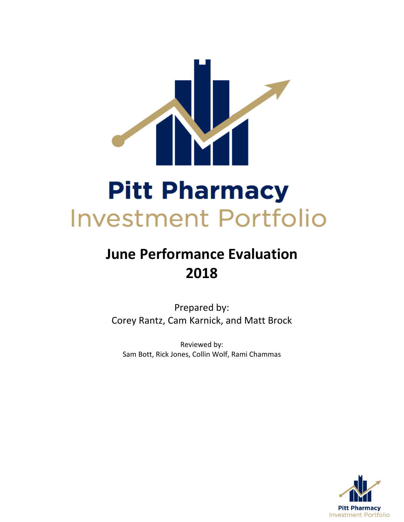

# **June Performance Evaluation 2018**

Prepared by: Corey Rantz, Cam Karnick, and Matt Brock

Reviewed by: Sam Bott, Rick Jones, Collin Wolf, Rami Chammas

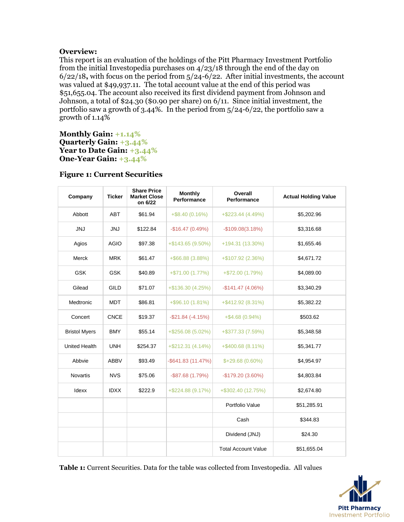# **Overview:**

This report is an evaluation of the holdings of the Pitt Pharmacy Investment Portfolio from the initial Investopedia purchases on 4/23/18 through the end of the day on 6/22/18**,** with focus on the period from 5/24-6/22. After initial investments, the account was valued at \$49,937.11. The total account value at the end of this period was \$51,655.04. The account also received its first dividend payment from Johnson and Johnson, a total of \$24.30 (\$0.90 per share) on 6/11. Since initial investment, the portfolio saw a growth of 3.44%. In the period from  $\frac{5}{24-6}$  /22, the portfolio saw a growth of 1.14%

**Monthly Gain: +1.14% Quarterly Gain: +3.44% Year to Date Gain: +3.44% One-Year Gain: +3.44%**

| Company              | <b>Ticker</b> | <b>Share Price</b><br><b>Market Close</b><br>on 6/22 | <b>Monthly</b><br>Performance | Overall<br>Performance     | <b>Actual Holding Value</b> |
|----------------------|---------------|------------------------------------------------------|-------------------------------|----------------------------|-----------------------------|
| Abbott               | <b>ABT</b>    | \$61.94                                              | $+$ \$8.40 (0.16%)            | $+$ \$223.44 (4.49%)       | \$5,202.96                  |
| <b>JNJ</b>           | <b>JNJ</b>    | \$122.84                                             | $-$16.47(0.49%)$              | $-$109.08(3.18%)$          | \$3,316.68                  |
| Agios                | <b>AGIO</b>   | \$97.38                                              | +\$143.65 (9.50%)             | +194.31 (13.30%)           | \$1,655.46                  |
| Merck                | <b>MRK</b>    | \$61.47                                              | +\$66.88 (3.88%)              | $+$107.92(2.36%)$          | \$4,671.72                  |
| <b>GSK</b>           | <b>GSK</b>    | \$40.89                                              | $+\$71.00(1.77%)$             | +\$72.00 (1.79%)           | \$4,089.00                  |
| Gilead               | <b>GILD</b>   | \$71.07                                              | +\$136.30 (4.25%)             | $-$141.47(4.06%)$          | \$3,340.29                  |
| Medtronic            | <b>MDT</b>    | \$86.81                                              | $+$ \$96.10 (1.81%)           | $+$ \$412.92 (8.31%)       | \$5,382.22                  |
| Concert              | <b>CNCE</b>   | \$19.37                                              | $-$ \$21.84 ( $-$ 4.15%)      | $+$ \$4.68 (0.94%)         | \$503.62                    |
| <b>Bristol Myers</b> | <b>BMY</b>    | \$55.14                                              | +\$256.08 (5.02%)             | +\$377.33 (7.59%)          | \$5,348.58                  |
| <b>United Health</b> | <b>UNH</b>    | \$254.37                                             | $+$ \$212.31 (4.14%)          | $+$ \$400.68 (8.11%)       | \$5,341.77                  |
| Abbvie               | ABBV          | \$93.49                                              | $-$ \$641.83 (11.47%)         | $$+29.68(0.60\%)$          | \$4,954.97                  |
| <b>Novartis</b>      | <b>NVS</b>    | \$75.06                                              | $-$ \$87.68 (1.79%)           | $-$179.20(3.60%)$          | \$4,803.84                  |
| Idexx                | <b>IDXX</b>   | \$222.9                                              | +\$224.88 (9.17%)             | +\$302.40 (12.75%)         | \$2,674.80                  |
|                      |               |                                                      |                               | Portfolio Value            | \$51,285.91                 |
|                      |               |                                                      |                               | Cash                       | \$344.83                    |
|                      |               |                                                      |                               | Dividend (JNJ)             | \$24.30                     |
|                      |               |                                                      |                               | <b>Total Account Value</b> | \$51,655.04                 |

# **Figure 1: Current Securities**

**Table 1:** Current Securities. Data for the table was collected from Investopedia. All values

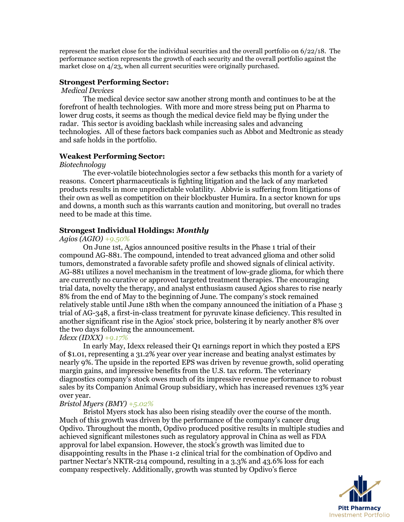represent the market close for the individual securities and the overall portfolio on 6/22/18. The performance section represents the growth of each security and the overall portfolio against the market close on 4/23, when all current securities were originally purchased.

#### **Strongest Performing Sector:**

#### *Medical Devices*

The medical device sector saw another strong month and continues to be at the forefront of health technologies. With more and more stress being put on Pharma to lower drug costs, it seems as though the medical device field may be flying under the radar. This sector is avoiding backlash while increasing sales and advancing technologies. All of these factors back companies such as Abbot and Medtronic as steady and safe holds in the portfolio.

# **Weakest Performing Sector:**

#### *Biotechnology*

The ever-volatile biotechnologies sector a few setbacks this month for a variety of reasons. Concert pharmaceuticals is fighting litigation and the lack of any marketed products results in more unpredictable volatility. Abbvie is suffering from litigations of their own as well as competition on their blockbuster Humira. In a sector known for ups and downs, a month such as this warrants caution and monitoring, but overall no trades need to be made at this time.

## **Strongest Individual Holdings:** *Monthly*

#### *Agios (AGIO) +9.50%*

On June 1st, Agios announced positive results in the Phase 1 trial of their compound AG-881. The compound, intended to treat advanced glioma and other solid tumors, demonstrated a favorable safety profile and showed signals of clinical activity. AG-881 utilizes a novel mechanism in the treatment of low-grade glioma, for which there are currently no curative or approved targeted treatment therapies. The encouraging trial data, novelty the therapy, and analyst enthusiasm caused Agios shares to rise nearly 8% from the end of May to the beginning of June. The company's stock remained relatively stable until June 18th when the company announced the initiation of a Phase 3 trial of AG-348, a first-in-class treatment for pyruvate kinase deficiency. This resulted in another significant rise in the Agios' stock price, bolstering it by nearly another 8% over the two days following the announcement.

# *Idexx (IDXX) +9.17%*

In early May, Idexx released their Q1 earnings report in which they posted a EPS of \$1.01, representing a 31.2% year over year increase and beating analyst estimates by nearly 9%. The upside in the reported EPS was driven by revenue growth, solid operating margin gains, and impressive benefits from the U.S. tax reform. The veterinary diagnostics company's stock owes much of its impressive revenue performance to robust sales by its Companion Animal Group subsidiary, which has increased revenues 13% year over year.

#### *Bristol Myers (BMY) +5.02%*

Bristol Myers stock has also been rising steadily over the course of the month. Much of this growth was driven by the performance of the company's cancer drug Opdivo. Throughout the month, Opdivo produced positive results in multiple studies and achieved significant milestones such as regulatory approval in China as well as FDA approval for label expansion. However, the stock's growth was limited due to disappointing results in the Phase 1-2 clinical trial for the combination of Opdivo and partner Nectar's NKTR-214 compound, resulting in a 3.3% and 43.6% loss for each company respectively. Additionally, growth was stunted by Opdivo's fierce

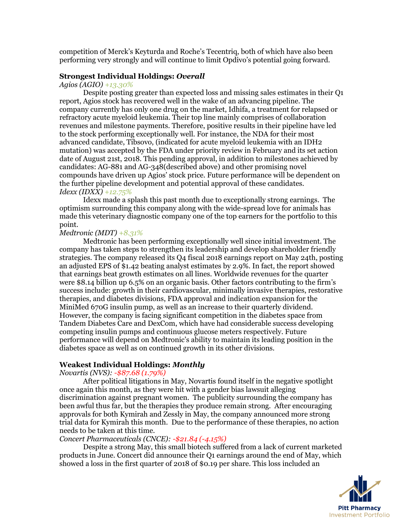competition of Merck's Keyturda and Roche's Tecentriq, both of which have also been performing very strongly and will continue to limit Opdivo's potential going forward.

## **Strongest Individual Holdings:** *Overall*

# *Agios (AGIO) +13.30%*

Despite posting greater than expected loss and missing sales estimates in their Q1 report, Agios stock has recovered well in the wake of an advancing pipeline. The company currently has only one drug on the market, Idhifa, a treatment for relapsed or refractory acute myeloid leukemia. Their top line mainly comprises of collaboration revenues and milestone payments. Therefore, positive results in their pipeline have led to the stock performing exceptionally well. For instance, the NDA for their most advanced candidate, Tibsovo, (indicated for acute myeloid leukemia with an IDH2 mutation) was accepted by the FDA under priority review in February and its set action date of August 21st, 2018. This pending approval, in addition to milestones achieved by candidates: AG-881 and AG-348(described above) and other promising novel compounds have driven up Agios' stock price. Future performance will be dependent on the further pipeline development and potential approval of these candidates. *Idexx (IDXX) +12.75%*

Idexx made a splash this past month due to exceptionally strong earnings. The optimism surrounding this company along with the wide-spread love for animals has made this veterinary diagnostic company one of the top earners for the portfolio to this point.

# *Medtronic (MDT) +8.31%*

Medtronic has been performing exceptionally well since initial investment. The company has taken steps to strengthen its leadership and develop shareholder friendly strategies. The company released its Q4 fiscal 2018 earnings report on May 24th, posting an adjusted EPS of \$1.42 beating analyst estimates by 2.9%. In fact, the report showed that earnings beat growth estimates on all lines. Worldwide revenues for the quarter were \$8.14 billion up 6.5% on an organic basis. Other factors contributing to the firm's success include: growth in their cardiovascular, minimally invasive therapies, restorative therapies, and diabetes divisions, FDA approval and indication expansion for the MiniMed 670G insulin pump, as well as an increase to their quarterly dividend. However, the company is facing significant competition in the diabetes space from Tandem Diabetes Care and DexCom, which have had considerable success developing competing insulin pumps and continuous glucose meters respectively. Future performance will depend on Medtronic's ability to maintain its leading position in the diabetes space as well as on continued growth in its other divisions.

## **Weakest Individual Holdings:** *Monthly*

#### *Novartis (NVS): -\$87.68 (1.79%)*

After political litigations in May, Novartis found itself in the negative spotlight once again this month, as they were hit with a gender bias lawsuit alleging discrimination against pregnant women. The publicity surrounding the company has been awful thus far, but the therapies they produce remain strong. After encouraging approvals for both Kymirah and Zessly in May, the company announced more strong trial data for Kymirah this month. Due to the performance of these therapies, no action needs to be taken at this time.

# *Concert Pharmaceuticals (CNCE): -\$21.84 (-4.15%)*

Despite a strong May, this small biotech suffered from a lack of current marketed products in June. Concert did announce their Q1 earnings around the end of May, which showed a loss in the first quarter of 2018 of \$0.19 per share. This loss included an

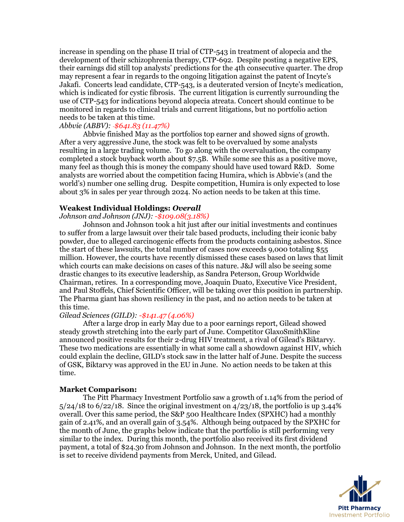increase in spending on the phase II trial of CTP-543 in treatment of alopecia and the development of their schizophrenia therapy, CTP-692. Despite posting a negative EPS, their earnings did still top analysts' predictions for the 4th consecutive quarter. The drop may represent a fear in regards to the ongoing litigation against the patent of Incyte's Jakafi. Concerts lead candidate, CTP-543, is a deuterated version of Incyte's medication, which is indicated for cystic fibrosis. The current litigation is currently surrounding the use of CTP-543 for indications beyond alopecia atreata. Concert should continue to be monitored in regards to clinical trials and current litigations, but no portfolio action needs to be taken at this time.

# *Abbvie (ABBV):* -*\$641.83 (11.47%)*

Abbvie finished May as the portfolios top earner and showed signs of growth. After a very aggressive June, the stock was felt to be overvalued by some analysts resulting in a large trading volume. To go along with the overvaluation, the company completed a stock buyback worth about \$7.5B. While some see this as a positive move, many feel as though this is money the company should have used toward R&D. Some analysts are worried about the competition facing Humira, which is Abbvie's (and the world's) number one selling drug. Despite competition, Humira is only expected to lose about 3% in sales per year through 2024. No action needs to be taken at this time.

# **Weakest Individual Holdings:** *Overall*

*Johnson and Johnson (JNJ): -\$109.08(3.18%)*

Johnson and Johnson took a hit just after our initial investments and continues to suffer from a large lawsuit over their talc based products, including their iconic baby powder, due to alleged carcinogenic effects from the products containing asbestos. Since the start of these lawsuits, the total number of cases now exceeds 9,000 totaling \$55 million. However, the courts have recently dismissed these cases based on laws that limit which courts can make decisions on cases of this nature. J&J will also be seeing some drastic changes to its executive leadership, as Sandra Peterson, Group Worldwide Chairman, retires. In a corresponding move, Joaquin Duato, Executive Vice President, and Paul Stoffels, Chief Scientific Officer, will be taking over this position in partnership. The Pharma giant has shown resiliency in the past, and no action needs to be taken at this time.

# *Gilead Sciences (GILD): -\$141.47 (4.06%)*

After a large drop in early May due to a poor earnings report, Gilead showed steady growth stretching into the early part of June. Competitor GlaxoSmithKline announced positive results for their 2-drug HIV treatment, a rival of Gilead's Biktarvy. These two medications are essentially in what some call a showdown against HIV, which could explain the decline, GILD's stock saw in the latter half of June. Despite the success of GSK, Biktarvy was approved in the EU in June. No action needs to be taken at this time.

# **Market Comparison:**

The Pitt Pharmacy Investment Portfolio saw a growth of 1.14% from the period of  $5/24/18$  to  $6/22/18$ . Since the original investment on  $4/23/18$ , the portfolio is up 3.44% overall. Over this same period, the S&P 500 Healthcare Index (SPXHC) had a monthly gain of 2.41%, and an overall gain of 3.54%. Although being outpaced by the SPXHC for the month of June, the graphs below indicate that the portfolio is still performing very similar to the index. During this month, the portfolio also received its first dividend payment, a total of \$24.30 from Johnson and Johnson. In the next month, the portfolio is set to receive dividend payments from Merck, United, and Gilead.

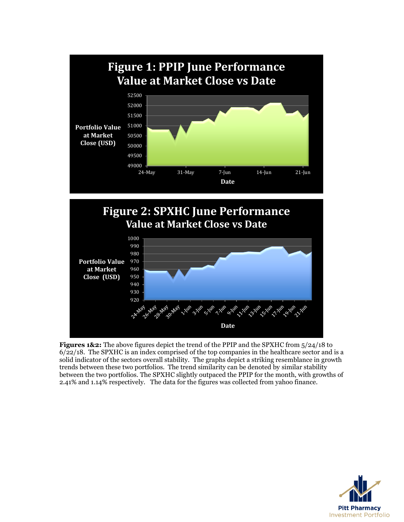



**Figures 1&2:** The above figures depict the trend of the PPIP and the SPXHC from 5/24/18 to  $6/22/18$ . The SPXHC is an index comprised of the top companies in the healthcare sector and is a solid indicator of the sectors overall stability. The graphs depict a striking resemblance in growth trends between these two portfolios. The trend similarity can be denoted by similar stability between the two portfolios. The SPXHC slightly outpaced the PPIP for the month, with growths of 2.41% and 1.14% respectively. The data for the figures was collected from yahoo finance.